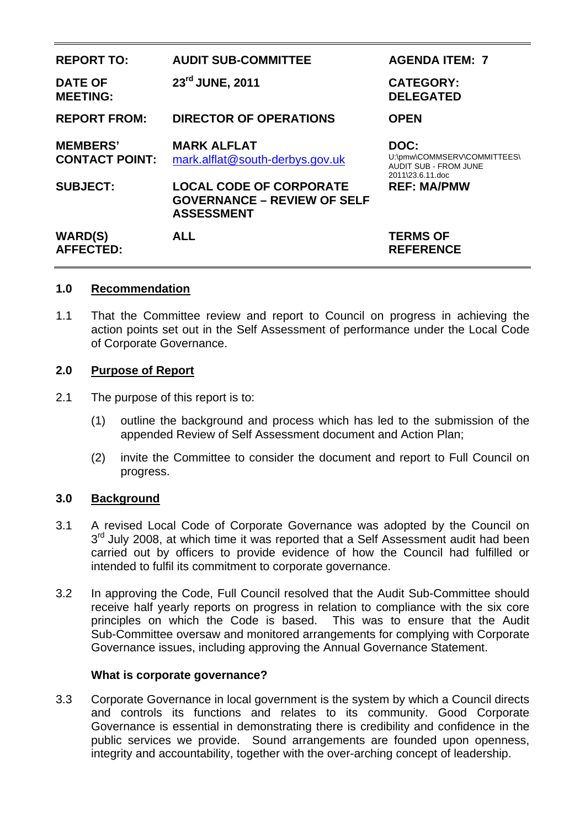| <b>REPORT TO:</b>                        | <b>AUDIT SUB-COMMITTEE</b>                                                                | <b>AGENDA ITEM: 7</b>                                                                   |
|------------------------------------------|-------------------------------------------------------------------------------------------|-----------------------------------------------------------------------------------------|
| <b>DATE OF</b><br><b>MEETING:</b>        | 23rd JUNE, 2011                                                                           | <b>CATEGORY:</b><br><b>DELEGATED</b>                                                    |
| <b>REPORT FROM:</b>                      | <b>DIRECTOR OF OPERATIONS</b>                                                             | <b>OPEN</b>                                                                             |
| <b>MEMBERS'</b><br><b>CONTACT POINT:</b> | <b>MARK ALFLAT</b><br>mark.alflat@south-derbys.gov.uk                                     | DOC:<br>U:\pmw\COMMSERV\COMMITTEES\<br><b>AUDIT SUB - FROM JUNE</b><br>2011\23.6.11.doc |
| <b>SUBJECT:</b>                          | <b>LOCAL CODE OF CORPORATE</b><br><b>GOVERNANCE – REVIEW OF SELF</b><br><b>ASSESSMENT</b> | <b>REF: MA/PMW</b>                                                                      |
| <b>WARD(S)</b><br><b>AFFECTED:</b>       | <b>ALL</b>                                                                                | <b>TERMS OF</b><br><b>REFERENCE</b>                                                     |

### **1.0 Recommendation**

1.1 That the Committee review and report to Council on progress in achieving the action points set out in the Self Assessment of performance under the Local Code of Corporate Governance.

### **2.0 Purpose of Report**

- 2.1 The purpose of this report is to:
	- (1) outline the background and process which has led to the submission of the appended Review of Self Assessment document and Action Plan;
	- (2) invite the Committee to consider the document and report to Full Council on progress.

#### **3.0 Background**

- 3.1 A revised Local Code of Corporate Governance was adopted by the Council on 3<sup>rd</sup> July 2008, at which time it was reported that a Self Assessment audit had been carried out by officers to provide evidence of how the Council had fulfilled or intended to fulfil its commitment to corporate governance.
- 3.2 In approving the Code, Full Council resolved that the Audit Sub-Committee should receive half yearly reports on progress in relation to compliance with the six core principles on which the Code is based. This was to ensure that the Audit Sub-Committee oversaw and monitored arrangements for complying with Corporate Governance issues, including approving the Annual Governance Statement.

#### **What is corporate governance?**

3.3 Corporate Governance in local government is the system by which a Council directs and controls its functions and relates to its community. Good Corporate Governance is essential in demonstrating there is credibility and confidence in the public services we provide. Sound arrangements are founded upon openness, integrity and accountability, together with the over-arching concept of leadership.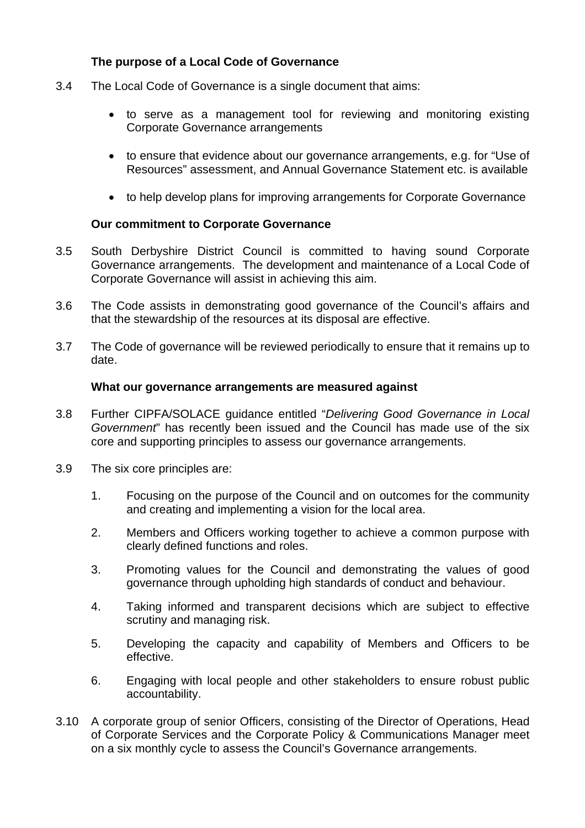# **The purpose of a Local Code of Governance**

- 3.4 The Local Code of Governance is a single document that aims:
	- to serve as a management tool for reviewing and monitoring existing Corporate Governance arrangements
	- to ensure that evidence about our governance arrangements, e.g. for "Use of Resources" assessment, and Annual Governance Statement etc. is available
	- to help develop plans for improving arrangements for Corporate Governance

### **Our commitment to Corporate Governance**

- 3.5 South Derbyshire District Council is committed to having sound Corporate Governance arrangements. The development and maintenance of a Local Code of Corporate Governance will assist in achieving this aim.
- 3.6 The Code assists in demonstrating good governance of the Council's affairs and that the stewardship of the resources at its disposal are effective.
- 3.7 The Code of governance will be reviewed periodically to ensure that it remains up to date.

#### **What our governance arrangements are measured against**

- 3.8 Further CIPFA/SOLACE guidance entitled "*Delivering Good Governance in Local Government*" has recently been issued and the Council has made use of the six core and supporting principles to assess our governance arrangements.
- 3.9 The six core principles are:
	- 1. Focusing on the purpose of the Council and on outcomes for the community and creating and implementing a vision for the local area.
	- 2. Members and Officers working together to achieve a common purpose with clearly defined functions and roles.
	- 3. Promoting values for the Council and demonstrating the values of good governance through upholding high standards of conduct and behaviour.
	- 4. Taking informed and transparent decisions which are subject to effective scrutiny and managing risk.
	- 5. Developing the capacity and capability of Members and Officers to be effective.
	- 6. Engaging with local people and other stakeholders to ensure robust public accountability.
- 3.10 A corporate group of senior Officers, consisting of the Director of Operations, Head of Corporate Services and the Corporate Policy & Communications Manager meet on a six monthly cycle to assess the Council's Governance arrangements.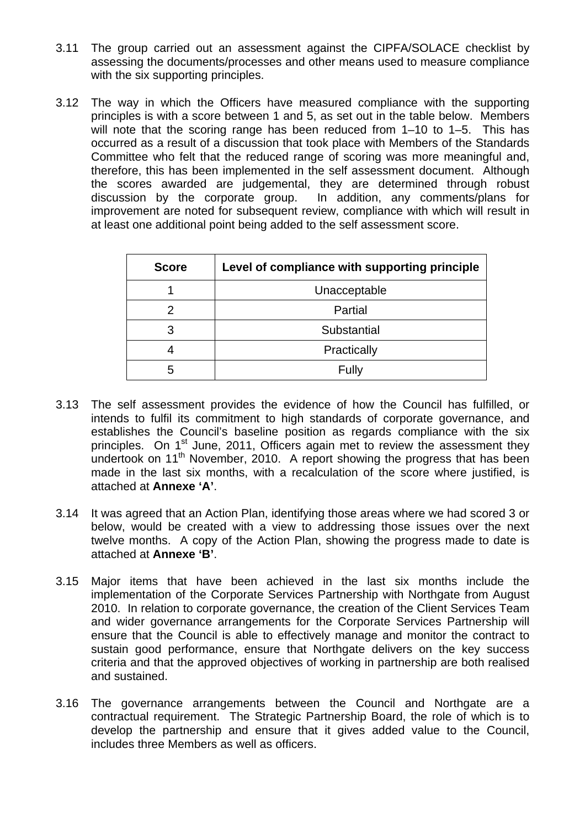- 3.11 The group carried out an assessment against the CIPFA/SOLACE checklist by assessing the documents/processes and other means used to measure compliance with the six supporting principles.
- 3.12 The way in which the Officers have measured compliance with the supporting principles is with a score between 1 and 5, as set out in the table below. Members will note that the scoring range has been reduced from 1-10 to 1-5. This has occurred as a result of a discussion that took place with Members of the Standards Committee who felt that the reduced range of scoring was more meaningful and, therefore, this has been implemented in the self assessment document. Although the scores awarded are judgemental, they are determined through robust discussion by the corporate group. In addition, any comments/plans for improvement are noted for subsequent review, compliance with which will result in at least one additional point being added to the self assessment score.

| <b>Score</b> | Level of compliance with supporting principle |  |
|--------------|-----------------------------------------------|--|
|              | Unacceptable                                  |  |
|              | Partial                                       |  |
| 3            | Substantial                                   |  |
|              | Practically                                   |  |
| 5            | Fully                                         |  |

- 3.13 The self assessment provides the evidence of how the Council has fulfilled, or intends to fulfil its commitment to high standards of corporate governance, and establishes the Council's baseline position as regards compliance with the six principles. On  $1<sup>st</sup>$  June, 2011, Officers again met to review the assessment they undertook on 11<sup>th</sup> November, 2010. A report showing the progress that has been made in the last six months, with a recalculation of the score where justified, is attached at **Annexe 'A'**.
- 3.14 It was agreed that an Action Plan, identifying those areas where we had scored 3 or below, would be created with a view to addressing those issues over the next twelve months. A copy of the Action Plan, showing the progress made to date is attached at **Annexe 'B'**.
- 3.15 Major items that have been achieved in the last six months include the implementation of the Corporate Services Partnership with Northgate from August 2010. In relation to corporate governance, the creation of the Client Services Team and wider governance arrangements for the Corporate Services Partnership will ensure that the Council is able to effectively manage and monitor the contract to sustain good performance, ensure that Northgate delivers on the key success criteria and that the approved objectives of working in partnership are both realised and sustained.
- 3.16 The governance arrangements between the Council and Northgate are a contractual requirement. The Strategic Partnership Board, the role of which is to develop the partnership and ensure that it gives added value to the Council, includes three Members as well as officers.